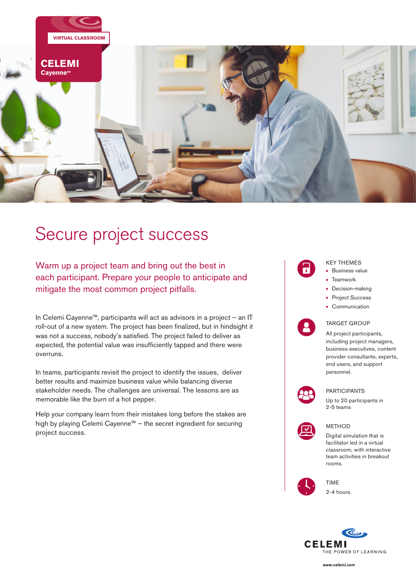

# Secure project success

Warm up a project team and bring out the best in each participant. Prepare your people to anticipate and mitigate the most common project pitfalls.

In Celemi Cayenne™, participants will act as advisors in a project – an IT roll-out of a new system. The project has been finalized, but in hindsight it was not a success, nobody's satisfied. The project failed to deliver as expected, the potential value was insufficiently tapped and there were overruns.

In teams, participants revisit the project to identify the issues, deliver better results and maximize business value while balancing diverse stakeholder needs. The challenges are universal. The lessons are as memorable like the burn of a hot pepper.

Help your company learn from their mistakes long before the stakes are high by playing Celemi Cayenne™ – the secret ingredient for securing project success.

#### KEY THEMES • Business value

- Teamwork
- Decision-making
- Project Success
- Communication

#### TARGET GROUP

All project participants, including project managers, business executives, content provider consultants, experts, end users, and support personnel.



#### PARTICIPANTS

Up to 20 participants in 2-5 teams



#### METHOD

Digital simulation that is facilitator led in a virtual classroom, with interactive team activities in breakout rooms.





2-4 hours.



www.celemi.com